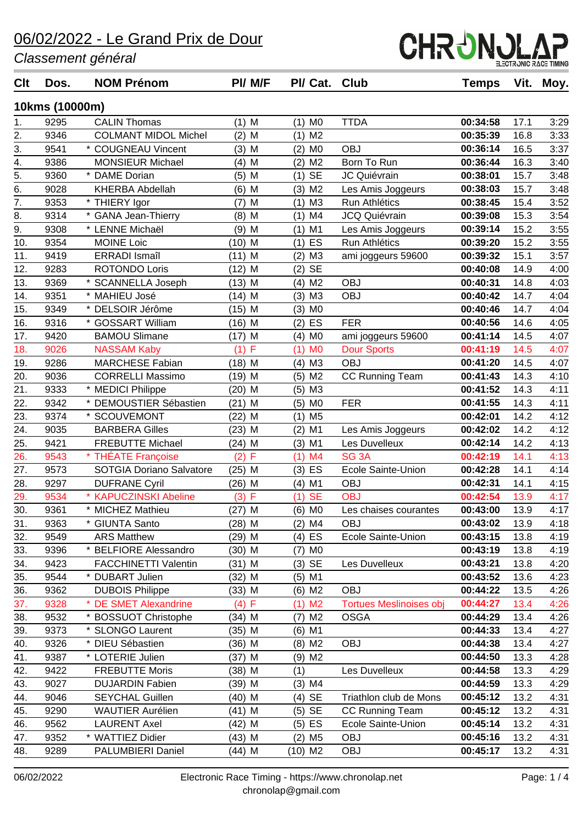*Classement général*

| <b>Clt</b>       | Dos.           | <b>NOM Prénom</b>           | PI/ M/F            | PI/ Cat.              | Club                           | <b>Temps</b> | Vit. | Moy. |
|------------------|----------------|-----------------------------|--------------------|-----------------------|--------------------------------|--------------|------|------|
|                  | 10kms (10000m) |                             |                    |                       |                                |              |      |      |
| 1.               | 9295           | <b>CALIN Thomas</b>         | $(1)$ M            | $(1)$ MO              | <b>TTDA</b>                    | 00:34:58     | 17.1 | 3:29 |
| 2.               | 9346           | <b>COLMANT MIDOL Michel</b> | $(2)$ M            | $(1)$ M2              |                                | 00:35:39     | 16.8 | 3:33 |
| 3.               | 9541           | * COUGNEAU Vincent          | $(3)$ M            | M <sub>0</sub><br>(2) | <b>OBJ</b>                     | 00:36:14     | 16.5 | 3:37 |
| 4.               | 9386           | <b>MONSIEUR Michael</b>     | $(4)$ M            | M <sub>2</sub><br>(2) | Born To Run                    | 00:36:44     | 16.3 | 3:40 |
| $\overline{5}$ . | 9360           | * DAME Dorian               | $(5)$ M            | <b>SE</b><br>(1)      | JC Quiévrain                   | 00:38:01     | 15.7 | 3:48 |
| $\overline{6}$ . | 9028           | <b>KHERBA Abdellah</b>      | $(6)$ M            | M <sub>2</sub><br>(3) | Les Amis Joggeurs              | 00:38:03     | 15.7 | 3:48 |
| 7.               | 9353           | * THIERY Igor               | M<br>(7)           | MЗ<br>(1)             | Run Athlétics                  | 00:38:45     | 15.4 | 3:52 |
| 8.               | 9314           | * GANA Jean-Thierry         | $(8)$ M            | M <sub>4</sub><br>(1) | <b>JCQ Quiévrain</b>           | 00:39:08     | 15.3 | 3:54 |
| 9.               | 9308           | * LENNE Michaël             | $(9)$ M            | $(1)$ M1              | Les Amis Joggeurs              | 00:39:14     | 15.2 | 3:55 |
| 10.              | 9354           | <b>MOINE Loic</b>           | $(10)$ M           | ES<br>(1)             | Run Athlétics                  | 00:39:20     | 15.2 | 3:55 |
| 11.              | 9419           | <b>ERRADI</b> Ismaîl        | $(11)$ M           | M <sub>3</sub><br>(2) | ami joggeurs 59600             | 00:39:32     | 15.1 | 3:57 |
| 12.              | 9283           | <b>ROTONDO Loris</b>        | $(12)$ M           | <b>SE</b><br>(2)      |                                | 00:40:08     | 14.9 | 4:00 |
| 13.              | 9369           | * SCANNELLA Joseph          | $(13)$ M           | M <sub>2</sub><br>(4) | <b>OBJ</b>                     | 00:40:31     | 14.8 | 4:03 |
| 14.              | 9351           | * MAHIEU José               | $(14)$ M           | (3)<br>M <sub>3</sub> | <b>OBJ</b>                     | 00:40:42     | 14.7 | 4:04 |
| 15.              | 9349           | * DELSOIR Jérôme            | $(15)$ M           | $(3)$ MO              |                                | 00:40:46     | 14.7 | 4:04 |
| 16.              | 9316           | * GOSSART William           | (16) M             | ES<br>(2)             | <b>FER</b>                     | 00:40:56     | 14.6 | 4:05 |
| 17.              | 9420           | <b>BAMOU Slimane</b>        | $(17)$ M           | M <sub>0</sub><br>(4) | ami joggeurs 59600             | 00:41:14     | 14.5 | 4:07 |
| 18.              | 9026           | <b>NASSAM Kaby</b>          | (1) F              | M <sub>0</sub><br>(1) | <b>Dour Sports</b>             | 00:41:19     | 14.5 | 4:07 |
| 19.              | 9286           | <b>MARCHESE Fabian</b>      | $(18)$ M           | $(4)$ M3              | <b>OBJ</b>                     | 00:41:20     | 14.5 | 4:07 |
| 20.              | 9036           | <b>CORRELLI Massimo</b>     | $(19)$ M           | $(5)$ M2              | <b>CC Running Team</b>         | 00:41:43     | 14.3 | 4:10 |
| 21.              | 9333           | * MEDICI Philippe           | $(20)$ M           | M3<br>(5)             |                                | 00:41:52     | 14.3 | 4:11 |
| 22.              | 9342           | * DEMOUSTIER Sébastien      | $(21)$ M           | $(5)$ MO              | <b>FER</b>                     | 00:41:55     | 14.3 | 4:11 |
| 23.              | 9374           | * SCOUVEMONT                | $(22)$ M           | M <sub>5</sub><br>(1) |                                | 00:42:01     | 14.2 | 4:12 |
| 24.              | 9035           | <b>BARBERA Gilles</b>       | $(23)$ M           | (2)<br>M <sub>1</sub> | Les Amis Joggeurs              | 00:42:02     | 14.2 | 4:12 |
| 25.              | 9421           | <b>FREBUTTE Michael</b>     | (24) M             | $(3)$ M1              | Les Duvelleux                  | 00:42:14     | 14.2 | 4:13 |
| 26.              | 9543           | * THÉATE Françoise          | $\mathsf F$<br>(2) | M <sub>4</sub><br>(1) | SG <sub>3</sub> A              | 00:42:19     | 14.1 | 4:13 |
| 27.              | 9573           | SOTGIA Doriano Salvatore    | $(25)$ M           | $(3)$ ES              | Ecole Sainte-Union             | 00:42:28     | 14.1 | 4:14 |
| 28.              | 9297           | <b>DUFRANE Cyril</b>        | $(26)$ M           | M1<br>(4)             | <b>OBJ</b>                     | 00:42:31     | 14.1 | 4:15 |
| 29.              | 9534           | <b>KAPUCZINSKI Abeline</b>  | (3) F              | <b>SE</b><br>(1)      | <b>OBJ</b>                     | 00:42:54     | 13.9 | 4:17 |
| 30.              | 9361           | * MICHEZ Mathieu            | (27) M             | (6) MO                | Les chaises courantes          | 00:43:00     | 13.9 | 4:17 |
| 31.              | 9363           | * GIUNTA Santo              | (28) M             | $(2)$ M4              | <b>OBJ</b>                     | 00:43:02     | 13.9 | 4:18 |
| 32.              | 9549           | <b>ARS Matthew</b>          | (29) M             | $(4)$ ES              | Ecole Sainte-Union             | 00:43:15     | 13.8 | 4:19 |
| 33.              | 9396           | * BELFIORE Alessandro       | $(30)$ M           | (7) MO                |                                | 00:43:19     | 13.8 | 4:19 |
| 34.              | 9423           | <b>FACCHINETTI Valentin</b> | $(31)$ M           | $(3)$ SE              | Les Duvelleux                  | 00:43:21     | 13.8 | 4:20 |
| 35.              | 9544           | * DUBART Julien             | (32) M             | $(5)$ M1              |                                | 00:43:52     | 13.6 | 4:23 |
| 36.              | 9362           | <b>DUBOIS Philippe</b>      | $(33)$ M           | (6) M2                | <b>OBJ</b>                     | 00:44:22     | 13.5 | 4:26 |
| 37.              | 9328           | * DE SMET Alexandrine       | (4) F              | M <sub>2</sub><br>(1) | <b>Tortues Meslinoises obj</b> | 00:44:27     | 13.4 | 4:26 |
| 38.              | 9532           | * BOSSUOT Christophe        | (34) M             | M <sub>2</sub><br>(7) | <b>OSGA</b>                    | 00:44:29     | 13.4 | 4:26 |
| 39.              | 9373           | <b>SLONGO Laurent</b>       | (35) M             | $(6)$ M1              |                                | 00:44:33     | 13.4 | 4:27 |
| 40.              | 9326           | * DIEU Sébastien            | (36) M             | $(8)$ M2              | <b>OBJ</b>                     | 00:44:38     | 13.4 | 4:27 |
| 41.              | 9387           | * LOTERIE Julien            | (37) M             | $(9)$ M2              |                                | 00:44:50     | 13.3 | 4:28 |
| 42.              | 9422           | <b>FREBUTTE Moris</b>       | (38) M             | (1)                   | Les Duvelleux                  | 00:44:58     | 13.3 | 4:29 |
| 43.              | 9027           | <b>DUJARDIN Fabien</b>      | (39) M             | $(3)$ M4              |                                | 00:44:59     | 13.3 | 4:29 |
| 44.              | 9046           | <b>SEYCHAL Guillen</b>      | (40) M             | $(4)$ SE              | Triathlon club de Mons         | 00:45:12     | 13.2 | 4:31 |
| 45.              | 9290           | <b>WAUTIER Aurélien</b>     | (41) M             | $(5)$ SE              | <b>CC Running Team</b>         | 00:45:12     | 13.2 | 4:31 |
| 46.              | 9562           | <b>LAURENT Axel</b>         | (42) M             | $(5)$ ES              | Ecole Sainte-Union             | 00:45:14     | 13.2 | 4:31 |
| 47.              | 9352           | * WATTIEZ Didier            | $(43)$ M           | $(2)$ M <sub>5</sub>  | <b>OBJ</b>                     | 00:45:16     | 13.2 | 4:31 |
| 48.              | 9289           | PALUMBIERI Daniel           | (44) M             | (10) M2               | <b>OBJ</b>                     | 00:45:17     | 13.2 | 4:31 |
|                  |                |                             |                    |                       |                                |              |      |      |

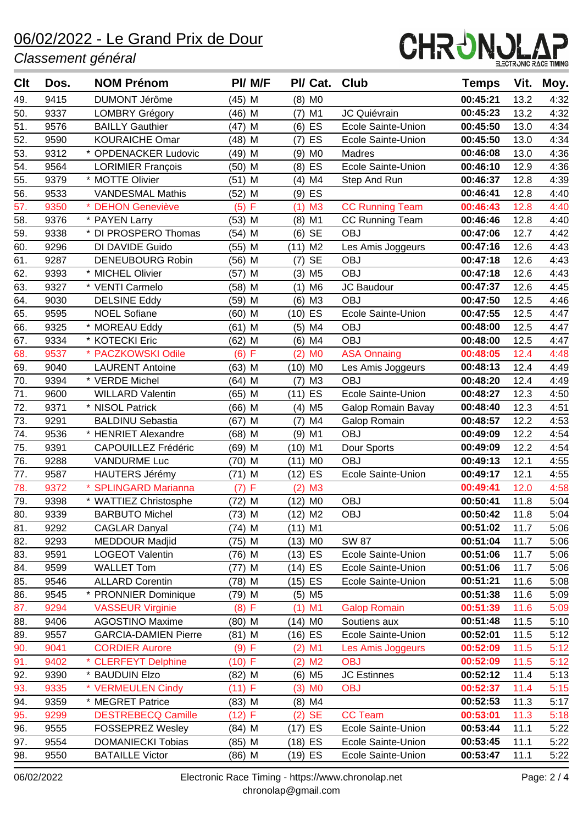#### *Classement général*



| Clt | Dos. | <b>NOM Prénom</b>           | PI/ M/F            | PI/ Cat. Club         |                           | <b>Temps</b> | Vit. | Moy. |
|-----|------|-----------------------------|--------------------|-----------------------|---------------------------|--------------|------|------|
| 49. | 9415 | <b>DUMONT Jérôme</b>        | (45) M             | $(8)$ MO              |                           | 00:45:21     | 13.2 | 4:32 |
| 50. | 9337 | <b>LOMBRY Grégory</b>       | (46) M             | $(7)$ M1              | JC Quiévrain              | 00:45:23     | 13.2 | 4:32 |
| 51. | 9576 | <b>BAILLY Gauthier</b>      | $(47)$ M           | $(6)$ ES              | <b>Ecole Sainte-Union</b> | 00:45:50     | 13.0 | 4:34 |
| 52. | 9590 | <b>KOURAICHE Omar</b>       | (48) M             | ES<br>(7)             | Ecole Sainte-Union        | 00:45:50     | 13.0 | 4:34 |
| 53. | 9312 | * OPDENACKER Ludovic        | (49) M             | M <sub>0</sub><br>(9) | Madres                    | 00:46:08     | 13.0 | 4:36 |
| 54. | 9564 | <b>LORIMIER François</b>    | (50) M             | $(8)$ ES              | <b>Ecole Sainte-Union</b> | 00:46:10     | 12.9 | 4:36 |
| 55. | 9379 | * MOTTE Olivier             | (51) M             | M4<br>(4)             | Step And Run              | 00:46:37     | 12.8 | 4:39 |
| 56. | 9533 | <b>VANDESMAL Mathis</b>     | (52) M             | $(9)$ ES              |                           | 00:46:41     | 12.8 | 4:40 |
| 57. | 9350 | * DEHON Geneviève           | F<br>(5)           | (1)<br>M <sub>3</sub> | <b>CC Running Team</b>    | 00:46:43     | 12.8 | 4:40 |
| 58. | 9376 | * PAYEN Larry               | (53) M             | $(8)$ M1              | <b>CC Running Team</b>    | 00:46:46     | 12.8 | 4:40 |
| 59. | 9338 | * DI PROSPERO Thomas        | $(54)$ M           | $(6)$ SE              | <b>OBJ</b>                | 00:47:06     | 12.7 | 4:42 |
| 60. | 9296 | DI DAVIDE Guido             | (55) M             | (11) M2               | Les Amis Joggeurs         | 00:47:16     | 12.6 | 4:43 |
| 61. | 9287 | <b>DENEUBOURG Robin</b>     | (56) M             | $(7)$ SE              | <b>OBJ</b>                | 00:47:18     | 12.6 | 4:43 |
| 62. | 9393 | * MICHEL Olivier            | M<br>(57)          | $(3)$ M <sub>5</sub>  | <b>OBJ</b>                | 00:47:18     | 12.6 | 4:43 |
| 63. | 9327 | * VENTI Carmelo             | $(58)$ M           | M <sub>6</sub><br>(1) | <b>JC Baudour</b>         | 00:47:37     | 12.6 | 4:45 |
| 64. | 9030 | <b>DELSINE Eddy</b>         | (59) M             | M3<br>(6)             | <b>OBJ</b>                | 00:47:50     | 12.5 | 4:46 |
| 65. | 9595 | <b>NOEL Sofiane</b>         | (60) M             | $(10)$ ES             | Ecole Sainte-Union        | 00:47:55     | 12.5 | 4:47 |
| 66. | 9325 | * MOREAU Eddy               | (61) M             | $(5)$ M4              | <b>OBJ</b>                | 00:48:00     | 12.5 | 4:47 |
| 67. | 9334 | * KOTECKI Eric              | (62) M             | $(6)$ M4              | <b>OBJ</b>                | 00:48:00     | 12.5 | 4:47 |
| 68. | 9537 | * PACZKOWSKI Odile          | (6) F              | (2)<br>M <sub>0</sub> | <b>ASA Onnaing</b>        | 00:48:05     | 12.4 | 4:48 |
| 69. | 9040 | <b>LAURENT Antoine</b>      | (63) M             | (10) MO               | Les Amis Joggeurs         | 00:48:13     | 12.4 | 4:49 |
| 70. | 9394 | * VERDE Michel              | (64) M             | ΜЗ<br>(7)             | <b>OBJ</b>                | 00:48:20     | 12.4 | 4:49 |
| 71. | 9600 | <b>WILLARD Valentin</b>     | (65) M             | (11) ES               | <b>Ecole Sainte-Union</b> | 00:48:27     | 12.3 | 4:50 |
| 72. | 9371 | * NISOL Patrick             | (66) M             | $(4)$ M <sub>5</sub>  | Galop Romain Bavay        | 00:48:40     | 12.3 | 4:51 |
| 73. | 9291 | <b>BALDINU Sebastia</b>     | M<br>(67)          | M4<br>(7)             | Galop Romain              | 00:48:57     | 12.2 | 4:53 |
| 74. | 9536 | * HENRIET Alexandre         | $(68)$ M           | M1<br>(9)             | <b>OBJ</b>                | 00:49:09     | 12.2 | 4:54 |
| 75. | 9391 | <b>CAPOUILLEZ Frédéric</b>  | (69) M             | (10) M1               | Dour Sports               | 00:49:09     | 12.2 | 4:54 |
| 76. | 9288 | <b>VANDURME Luc</b>         | (70) M             | $(11)$ MO             | <b>OBJ</b>                | 00:49:13     | 12.1 | 4:55 |
| 77. | 9587 | <b>HAUTERS Jérémy</b>       | (71) M             | (12) ES               | Ecole Sainte-Union        | 00:49:17     | 12.1 | 4:55 |
| 78. | 9372 | <b>SPLINGARD Marianna</b>   | $\mathsf F$<br>(7) | M <sub>3</sub><br>(2) |                           | 00:49:41     | 12.0 | 4:58 |
| 79. | 9398 | * WATTIEZ Christosphe       | (72) M             | (12) MO               | <b>OBJ</b>                | 00:50:41     | 11.8 | 5:04 |
| 80. | 9339 | <b>BARBUTO Michel</b>       | $(73)$ M           | $(12)$ M2             | <b>OBJ</b>                | 00:50:42     | 11.8 | 5:04 |
| 81. | 9292 | <b>CAGLAR Danyal</b>        | (74) M             | (11) M1               |                           | 00:51:02     | 11.7 | 5:06 |
| 82. | 9293 | MEDDOUR Madjid              | (75) M             | $(13)$ MO             | <b>SW 87</b>              | 00:51:04     | 11.7 | 5:06 |
| 83. | 9591 | <b>LOGEOT Valentin</b>      | (76) M             | $(13)$ ES             | Ecole Sainte-Union        | 00:51:06     | 11.7 | 5:06 |
| 84. | 9599 | <b>WALLET Tom</b>           | $(77)$ M           | $(14)$ ES             | Ecole Sainte-Union        | 00:51:06     | 11.7 | 5:06 |
| 85. | 9546 | <b>ALLARD Corentin</b>      | $(78)$ M           | $(15)$ ES             | Ecole Sainte-Union        | 00:51:21     | 11.6 | 5:08 |
| 86. | 9545 | * PRONNIER Dominique        | (79) M             | $(5)$ M <sub>5</sub>  |                           | 00:51:38     | 11.6 | 5:09 |
| 87. | 9294 | <b>VASSEUR Virginie</b>     | (8) F              | $(1)$ M1              | <b>Galop Romain</b>       | 00:51:39     | 11.6 | 5:09 |
| 88. | 9406 | <b>AGOSTINO Maxime</b>      | $(80)$ M           | (14) MO               | Soutiens aux              | 00:51:48     | 11.5 | 5:10 |
| 89. | 9557 | <b>GARCIA-DAMIEN Pierre</b> | (81) M             | (16) ES               | Ecole Sainte-Union        | 00:52:01     | 11.5 | 5:12 |
| 90. | 9041 | <b>CORDIER Aurore</b>       | (9) F              | $(2)$ M1              | Les Amis Joggeurs         | 00:52:09     | 11.5 | 5:12 |
| 91. | 9402 | * CLERFEYT Delphine         | $(10)$ F           | $(2)$ M <sub>2</sub>  | <b>OBJ</b>                | 00:52:09     | 11.5 | 5:12 |
| 92. | 9390 | * BAUDUIN Elzo              | $(82)$ M           | $(6)$ M <sub>5</sub>  | <b>JC Estinnes</b>        | 00:52:12     | 11.4 | 5:13 |
| 93. | 9335 | * VERMEULEN Cindy           | (11) F             | $(3)$ MO              | <b>OBJ</b>                | 00:52:37     | 11.4 | 5:15 |
| 94. | 9359 | * MEGRET Patrice            | $(83)$ M           | $(8)$ M4              |                           | 00:52:53     | 11.3 | 5:17 |
| 95. | 9299 | <b>DESTREBECQ Camille</b>   | (12) F             | $(2)$ SE              | <b>CC Team</b>            | 00:53:01     | 11.3 | 5:18 |
| 96. | 9555 | <b>FOSSEPREZ Wesley</b>     | $(84)$ M           | (17) ES               | Ecole Sainte-Union        | 00:53:44     | 11.1 | 5:22 |
| 97. | 9554 | <b>DOMANIECKI Tobias</b>    | (85) M             | (18) ES               | Ecole Sainte-Union        | 00:53:45     | 11.1 | 5:22 |
| 98. | 9550 | <b>BATAILLE Victor</b>      | (86) M             | (19) ES               | Ecole Sainte-Union        | 00:53:47     | 11.1 | 5:22 |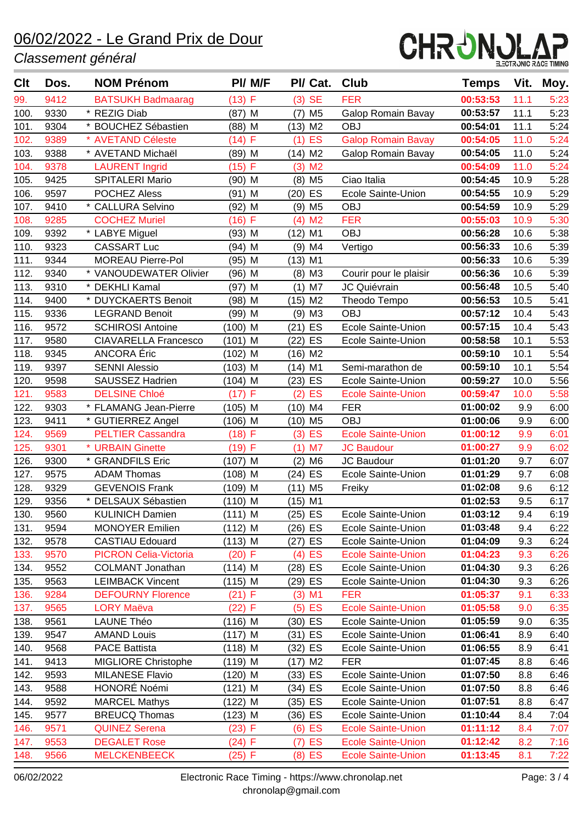#### *Classement général*



| <b>Clt</b>   | Dos. | <b>NOM Prénom</b>                      | PI/ M/F   | PI/ Cat.               | Club                      | <b>Temps</b> | Vit. | Moy. |
|--------------|------|----------------------------------------|-----------|------------------------|---------------------------|--------------|------|------|
| 99.          | 9412 | <b>BATSUKH Badmaarag</b>               | (13) F    | $(3)$ SE               | <b>FER</b>                | 00:53:53     | 11.1 | 5:23 |
| 100.         | 9330 | * REZIG Diab                           | (87) M    | M <sub>5</sub><br>(7)  | <b>Galop Romain Bavay</b> | 00:53:57     | 11.1 | 5:23 |
| 101.         | 9304 | * BOUCHEZ Sébastien                    | $(88)$ M  | $(13)$ M2              | <b>OBJ</b>                | 00:54:01     | 11.1 | 5:24 |
| 102.         | 9389 | * AVETAND Céleste                      | (14) F    | <b>ES</b><br>(1)       | <b>Galop Romain Bavay</b> | 00:54:05     | 11.0 | 5:24 |
| 103.         | 9388 | * AVETAND Michaël                      | (89) M    | $(14)$ M2              | <b>Galop Romain Bavay</b> | 00:54:05     | 11.0 | 5:24 |
| 104.         | 9378 | <b>LAURENT Ingrid</b>                  | (15) F    | (3)<br>M <sub>2</sub>  |                           | 00:54:09     | 11.0 | 5:24 |
| 105.         | 9425 | <b>SPITALERI Mario</b>                 | (90) M    | $(8)$ M <sub>5</sub>   | Ciao Italia               | 00:54:45     | 10.9 | 5:28 |
| 106.         | 9597 | <b>POCHEZ Aless</b>                    | (91) M    | ES<br>(20)             | <b>Ecole Sainte-Union</b> | 00:54:55     | 10.9 | 5:29 |
| 107.         | 9410 | * CALLURA Selvino                      | (92) M    | $(9)$ M <sub>5</sub>   | <b>OBJ</b>                | 00:54:59     | 10.9 | 5:29 |
| 108.         | 9285 | <b>COCHEZ Muriel</b>                   | (16) F    | M <sub>2</sub><br>(4)  | <b>FER</b>                | 00:55:03     | 10.9 | 5:30 |
| 109.         | 9392 | * LABYE Miguel                         | $(93)$ M  | (12)<br>M1             | <b>OBJ</b>                | 00:56:28     | 10.6 | 5:38 |
| 110.         | 9323 | <b>CASSART Luc</b>                     | (94) M    | M4<br>(9)              | Vertigo                   | 00:56:33     | 10.6 | 5:39 |
| 111.         | 9344 | <b>MOREAU Pierre-Pol</b>               | $(95)$ M  | $(13)$ M1              |                           | 00:56:33     | 10.6 | 5:39 |
| 112.         | 9340 | * VANOUDEWATER Olivier                 | (96) M    | ΜЗ<br>(8)              | Courir pour le plaisir    | 00:56:36     | 10.6 | 5:39 |
| 113.         | 9310 | * DEKHLI Kamal                         | (97) M    | M7<br>(1)              | JC Quiévrain              | 00:56:48     | 10.5 | 5:40 |
| 114.         | 9400 | * DUYCKAERTS Benoit                    | (98) M    | $(15)$ M2              | Theodo Tempo              | 00:56:53     | 10.5 | 5:41 |
| 115.         | 9336 | <b>LEGRAND Benoit</b>                  | (99) M    | $(9)$ M3               | <b>OBJ</b>                | 00:57:12     | 10.4 | 5:43 |
| 116.         | 9572 | <b>SCHIROSI Antoine</b>                | $(100)$ M | $(21)$ ES              | Ecole Sainte-Union        | 00:57:15     | 10.4 | 5:43 |
| 117.         | 9580 | <b>CIAVARELLA Francesco</b>            | (101) M   | ES<br>(22)             | Ecole Sainte-Union        | 00:58:58     | 10.1 | 5:53 |
| 118.         | 9345 | ANCORA Éric                            | $(102)$ M | $(16)$ M2              |                           | 00:59:10     | 10.1 | 5:54 |
| 119.         | 9397 | <b>SENNI Alessio</b>                   | $(103)$ M | M1<br>(14)             | Semi-marathon de          | 00:59:10     | 10.1 | 5:54 |
| 120.         | 9598 | SAUSSEZ Hadrien                        | $(104)$ M | (23) ES                | <b>Ecole Sainte-Union</b> | 00:59:27     | 10.0 | 5:56 |
| 121.         | 9583 | <b>DELSINE Chloé</b>                   | (17)<br>F | ES<br>(2)              | <b>Ecole Sainte-Union</b> | 00:59:47     | 10.0 | 5:58 |
| 122.         | 9303 | * FLAMANG Jean-Pierre                  | $(105)$ M | $(10)$ M4              | <b>FER</b>                | 01:00:02     | 9.9  | 6:00 |
| 123.         | 9411 | * GUTIERREZ Angel                      | (106) M   | $(10)$ M5              | <b>OBJ</b>                | 01:00:06     | 9.9  | 6:00 |
| 124.         | 9569 | <b>PELTIER Cassandra</b>               | (18) F    | ES<br>(3)              | <b>Ecole Sainte-Union</b> | 01:00:12     | 9.9  | 6:01 |
| 125.         | 9301 | * URBAIN Ginette                       | (19) F    | $(1)$ M7               | <b>JC Baudour</b>         | 01:00:27     | 9.9  | 6:02 |
| 126.         | 9300 | * GRANDFILS Eric                       | $(107)$ M | M <sub>6</sub><br>(2)  | JC Baudour                | 01:01:20     | 9.7  | 6:07 |
| 127.         | 9575 | <b>ADAM Thomas</b>                     | $(108)$ M | (24) ES                | Ecole Sainte-Union        | 01:01:29     | 9.7  | 6:08 |
| 128.         | 9329 | <b>GEVENOIS Frank</b>                  | (109) M   | (11)<br>M <sub>5</sub> | Freiky                    | 01:02:08     | 9.6  | 6:12 |
| 129.         | 9356 | * DELSAUX Sébastien                    | $(110)$ M | $(15)$ M1              |                           | 01:02:53     | 9.5  | 6:17 |
| 130.         | 9560 | <b>KULINICH Damien</b>                 | (111) M   | $(25)$ ES              | Ecole Sainte-Union        | 01:03:12     | 9.4  | 6:19 |
| 131.         | 9594 | <b>MONOYER Emilien</b>                 | $(112)$ M | (26) ES                | Ecole Sainte-Union        | 01:03:48     | 9.4  | 6:22 |
| 132.         | 9578 | <b>CASTIAU Edouard</b>                 | $(113)$ M | (27) ES                | Ecole Sainte-Union        | 01:04:09     | 9.3  | 6:24 |
| 133.         | 9570 | <b>PICRON Celia-Victoria</b>           | $(20)$ F  | $(4)$ ES               | <b>Ecole Sainte-Union</b> | 01:04:23     | 9.3  | 6:26 |
| 134.         | 9552 | <b>COLMANT Jonathan</b>                | $(114)$ M | (28) ES                | Ecole Sainte-Union        | 01:04:30     | 9.3  | 6:26 |
| 135.         | 9563 | <b>LEIMBACK Vincent</b>                | (115) M   | (29) ES                | Ecole Sainte-Union        | 01:04:30     | 9.3  | 6:26 |
| 136.         | 9284 | <b>DEFOURNY Florence</b>               | (21) F    | $(3)$ M1               | <b>FER</b>                | 01:05:37     | 9.1  | 6:33 |
| 137.         | 9565 | <b>LORY Maëva</b>                      | (22) F    | $(5)$ ES               | <b>Ecole Sainte-Union</b> | 01:05:58     | 9.0  | 6:35 |
| 138.         | 9561 | LAUNE Théo                             | $(116)$ M | (30) ES                | Ecole Sainte-Union        | 01:05:59     | 9.0  | 6:35 |
| 139.         | 9547 | <b>AMAND Louis</b>                     | $(117)$ M | (31) ES                | Ecole Sainte-Union        | 01:06:41     | 8.9  | 6:40 |
| 140.         | 9568 | <b>PACE Battista</b>                   | $(118)$ M | (32) ES                | Ecole Sainte-Union        | 01:06:55     | 8.9  | 6:41 |
| 141.         | 9413 | <b>MIGLIORE Christophe</b>             | $(119)$ M | $(17)$ M2              | <b>FER</b>                | 01:07:45     | 8.8  | 6:46 |
| 142.<br>143. | 9593 | <b>MILANESE Flavio</b><br>HONORÉ Noémi | (120) M   | (33) ES                | Ecole Sainte-Union        | 01:07:50     | 8.8  | 6:46 |
|              | 9588 |                                        | (121) M   | (34) ES                | Ecole Sainte-Union        | 01:07:50     | 8.8  | 6:46 |
| 144.         | 9592 | <b>MARCEL Mathys</b>                   | (122) M   | (35) ES                | Ecole Sainte-Union        | 01:07:51     | 8.8  | 6:47 |
| 145.         | 9577 | <b>BREUCQ Thomas</b>                   | (123) M   | (36) ES                | Ecole Sainte-Union        | 01:10:44     | 8.4  | 7:04 |
| 146.         | 9571 | <b>QUINEZ Serena</b>                   | (23) F    | $(6)$ ES               | <b>Ecole Sainte-Union</b> | 01:11:12     | 8.4  | 7:07 |
| 147.         | 9553 | <b>DEGALET Rose</b>                    | (24) F    | ES<br>(7)              | <b>Ecole Sainte-Union</b> | 01:12:42     | 8.2  | 7:16 |
| 148.         | 9566 | <b>MELCKENBEECK</b>                    | (25) F    | $(8)$ ES               | <b>Ecole Sainte-Union</b> | 01:13:45     | 8.1  | 7:22 |